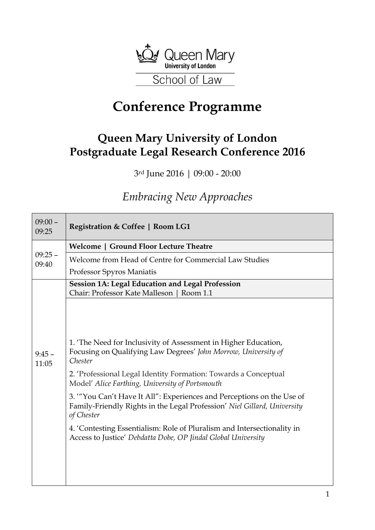

## **Conference Programme**

## **Queen Mary University of London Postgraduate Legal Research Conference 2016**

3rd June 2016 | 09:00 - 20:00

## *Embracing New Approaches*

| $09:00 -$<br>09:25 | <b>Registration &amp; Coffee   Room LG1</b>                                                                                                                     |
|--------------------|-----------------------------------------------------------------------------------------------------------------------------------------------------------------|
| $09:25 -$<br>09:40 | Welcome   Ground Floor Lecture Theatre                                                                                                                          |
|                    | Welcome from Head of Centre for Commercial Law Studies                                                                                                          |
|                    | Professor Spyros Maniatis                                                                                                                                       |
|                    | <b>Session 1A: Legal Education and Legal Profession</b><br>Chair: Professor Kate Malleson   Room 1.1                                                            |
|                    |                                                                                                                                                                 |
|                    |                                                                                                                                                                 |
| $9:45 -$<br>11:05  | 1. 'The Need for Inclusivity of Assessment in Higher Education,<br>Focusing on Qualifying Law Degrees' John Morrow, University of<br>Chester                    |
|                    | 2. 'Professional Legal Identity Formation: Towards a Conceptual<br>Model' Alice Farthing, University of Portsmouth                                              |
|                    | 3. "You Can't Have It All": Experiences and Perceptions on the Use of<br>Family-Friendly Rights in the Legal Profession' Niel Gillard, University<br>of Chester |
|                    | 4. 'Contesting Essentialism: Role of Pluralism and Intersectionality in<br>Access to Justice' Debdatta Dobe, OP Jindal Global University                        |
|                    |                                                                                                                                                                 |
|                    |                                                                                                                                                                 |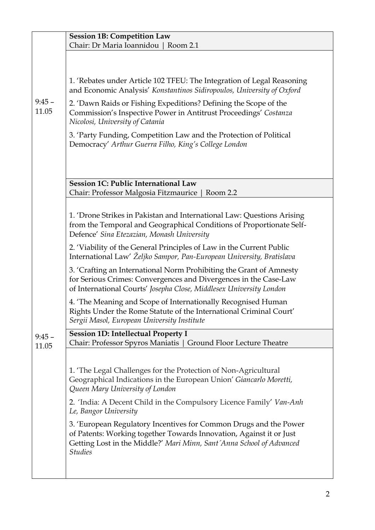|                   | <b>Session 1B: Competition Law</b><br>Chair: Dr Maria Ioannidou   Room 2.1                                                                                                                                                         |
|-------------------|------------------------------------------------------------------------------------------------------------------------------------------------------------------------------------------------------------------------------------|
|                   |                                                                                                                                                                                                                                    |
|                   | 1. 'Rebates under Article 102 TFEU: The Integration of Legal Reasoning<br>and Economic Analysis' Konstantinos Sidiropoulos, University of Oxford                                                                                   |
| $9:45 -$<br>11.05 | 2. 'Dawn Raids or Fishing Expeditions? Defining the Scope of the<br>Commission's Inspective Power in Antitrust Proceedings' Costanza<br>Nicolosi, University of Catania                                                            |
|                   | 3. 'Party Funding, Competition Law and the Protection of Political<br>Democracy' Arthur Guerra Filho, King's College London                                                                                                        |
|                   |                                                                                                                                                                                                                                    |
|                   | Session 1C: Public International Law<br>Chair: Professor Malgosia Fitzmaurice   Room 2.2                                                                                                                                           |
|                   | 1. 'Drone Strikes in Pakistan and International Law: Questions Arising<br>from the Temporal and Geographical Conditions of Proportionate Self-<br>Defence' Sina Etezazian, Monash University                                       |
|                   | 2. 'Viability of the General Principles of Law in the Current Public<br>International Law' Željko Sampor, Pan-European University, Bratislava                                                                                      |
|                   | 3. 'Crafting an International Norm Prohibiting the Grant of Amnesty<br>for Serious Crimes: Convergences and Divergences in the Case-Law<br>of International Courts' Josepha Close, Middlesex University London                     |
|                   | 4. The Meaning and Scope of Internationally Recognised Human<br>Rights Under the Rome Statute of the International Criminal Court'<br>Sergii Masol, European University Institute                                                  |
| $9:45 -$<br>11.05 | <b>Session 1D: Intellectual Property I</b><br>Chair: Professor Spyros Maniatis   Ground Floor Lecture Theatre                                                                                                                      |
|                   | 1. 'The Legal Challenges for the Protection of Non-Agricultural<br>Geographical Indications in the European Union' Giancarlo Moretti,<br>Queen Mary University of London                                                           |
|                   | 2. 'India: A Decent Child in the Compulsory Licence Family' Van-Anh<br>Le, Bangor University                                                                                                                                       |
|                   | 3. 'European Regulatory Incentives for Common Drugs and the Power<br>of Patents: Working together Towards Innovation, Against it or Just<br>Getting Lost in the Middle?' Mari Minn, Sant'Anna School of Advanced<br><b>Studies</b> |
|                   |                                                                                                                                                                                                                                    |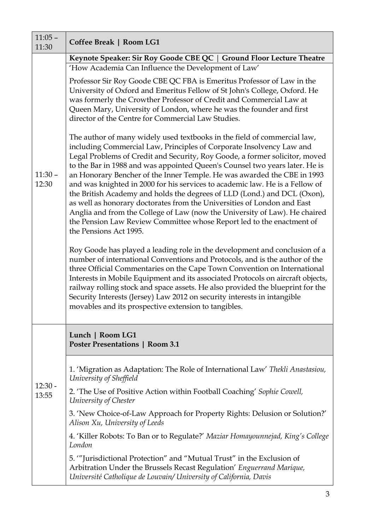| $11:05 -$<br>11:30 | Coffee Break   Room LG1                                                                                                                                                                                                                                                                                                                                                                                                                                                                                                                                                                                                                                                                                                                                                                                           |
|--------------------|-------------------------------------------------------------------------------------------------------------------------------------------------------------------------------------------------------------------------------------------------------------------------------------------------------------------------------------------------------------------------------------------------------------------------------------------------------------------------------------------------------------------------------------------------------------------------------------------------------------------------------------------------------------------------------------------------------------------------------------------------------------------------------------------------------------------|
|                    | Keynote Speaker: Sir Roy Goode CBE QC   Ground Floor Lecture Theatre                                                                                                                                                                                                                                                                                                                                                                                                                                                                                                                                                                                                                                                                                                                                              |
|                    | 'How Academia Can Influence the Development of Law'                                                                                                                                                                                                                                                                                                                                                                                                                                                                                                                                                                                                                                                                                                                                                               |
| $11:30 -$<br>12:30 | Professor Sir Roy Goode CBE QC FBA is Emeritus Professor of Law in the<br>University of Oxford and Emeritus Fellow of St John's College, Oxford. He<br>was formerly the Crowther Professor of Credit and Commercial Law at<br>Queen Mary, University of London, where he was the founder and first<br>director of the Centre for Commercial Law Studies.                                                                                                                                                                                                                                                                                                                                                                                                                                                          |
|                    | The author of many widely used textbooks in the field of commercial law,<br>including Commercial Law, Principles of Corporate Insolvency Law and<br>Legal Problems of Credit and Security, Roy Goode, a former solicitor, moved<br>to the Bar in 1988 and was appointed Queen's Counsel two years later. He is<br>an Honorary Bencher of the Inner Temple. He was awarded the CBE in 1993<br>and was knighted in 2000 for his services to academic law. He is a Fellow of<br>the British Academy and holds the degrees of LLD (Lond.) and DCL (Oxon),<br>as well as honorary doctorates from the Universities of London and East<br>Anglia and from the College of Law (now the University of Law). He chaired<br>the Pension Law Review Committee whose Report led to the enactment of<br>the Pensions Act 1995. |
|                    | Roy Goode has played a leading role in the development and conclusion of a<br>number of international Conventions and Protocols, and is the author of the<br>three Official Commentaries on the Cape Town Convention on International<br>Interests in Mobile Equipment and its associated Protocols on aircraft objects,<br>railway rolling stock and space assets. He also provided the blueprint for the<br>Security Interests (Jersey) Law 2012 on security interests in intangible<br>movables and its prospective extension to tangibles.                                                                                                                                                                                                                                                                    |
| $12:30 -$<br>13:55 | Lunch   Room LG1<br><b>Poster Presentations   Room 3.1</b>                                                                                                                                                                                                                                                                                                                                                                                                                                                                                                                                                                                                                                                                                                                                                        |
|                    | 1. 'Migration as Adaptation: The Role of International Law' Thekli Anastasiou,<br>University of Sheffield                                                                                                                                                                                                                                                                                                                                                                                                                                                                                                                                                                                                                                                                                                         |
|                    | 2. 'The Use of Positive Action within Football Coaching' Sophie Cowell,<br>University of Chester                                                                                                                                                                                                                                                                                                                                                                                                                                                                                                                                                                                                                                                                                                                  |
|                    | 3. 'New Choice-of-Law Approach for Property Rights: Delusion or Solution?'<br>Alison Xu, University of Leeds                                                                                                                                                                                                                                                                                                                                                                                                                                                                                                                                                                                                                                                                                                      |
|                    | 4. 'Killer Robots: To Ban or to Regulate?' Maziar Homayounnejad, King's College<br>London                                                                                                                                                                                                                                                                                                                                                                                                                                                                                                                                                                                                                                                                                                                         |
|                    | 5. "Jurisdictional Protection" and "Mutual Trust" in the Exclusion of<br>Arbitration Under the Brussels Recast Regulation' Enguerrand Marique,<br>Université Catholique de Louvain/ University of California, Davis                                                                                                                                                                                                                                                                                                                                                                                                                                                                                                                                                                                               |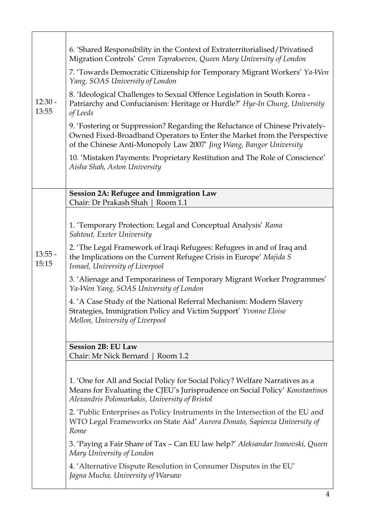|                    | 6. 'Shared Responsibility in the Context of Extraterritorialised/Privatised<br>Migration Controls' Ceren Toprakseven, Queen Mary University of London                                                                           |
|--------------------|---------------------------------------------------------------------------------------------------------------------------------------------------------------------------------------------------------------------------------|
|                    | 7. 'Towards Democratic Citizenship for Temporary Migrant Workers' Ya-Wen<br>Yang, SOAS University of London                                                                                                                     |
| $12:30 -$<br>13:55 | 8. 'Ideological Challenges to Sexual Offence Legislation in South Korea -<br>Patriarchy and Confucianism: Heritage or Hurdle?' Hye-In Chung, University<br>of Leeds                                                             |
|                    | 9. 'Fostering or Suppression? Regarding the Reluctance of Chinese Privately-<br>Owned Fixed-Broadband Operators to Enter the Market from the Perspective<br>of the Chinese Anti-Monopoly Law 2007' Jing Wang, Bangor University |
|                    | 10. 'Mistaken Payments: Proprietary Restitution and The Role of Conscience'<br>Aisha Shah, Aston University                                                                                                                     |
|                    |                                                                                                                                                                                                                                 |
|                    | Session 2A: Refugee and Immigration Law<br>Chair: Dr Prakash Shah   Room 1.1                                                                                                                                                    |
|                    |                                                                                                                                                                                                                                 |
|                    | 1. 'Temporary Protection: Legal and Conceptual Analysis' Rama<br>Sahtout, Exeter University                                                                                                                                     |
| $13:55 -$<br>15:15 | 2. 'The Legal Framework of Iraqi Refugees: Refugees in and of Iraq and<br>the Implications on the Current Refugee Crisis in Europe' Majida S<br>Ismael, University of Liverpool                                                 |
|                    | 3. 'Alienage and Temporariness of Temporary Migrant Worker Programmes'<br>Ya-Wen Yang, SOAS University of London                                                                                                                |
|                    | 4. 'A Case Study of the National Referral Mechanism: Modern Slavery<br>Strategies, Immigration Policy and Victim Support' Yvonne Eloise<br>Mellon, University of Liverpool                                                      |
|                    |                                                                                                                                                                                                                                 |
|                    | <b>Session 2B: EU Law</b><br>Chair: Mr Nick Bernard<br>Room 1.2                                                                                                                                                                 |
|                    |                                                                                                                                                                                                                                 |
|                    | 1. 'One for All and Social Policy for Social Policy? Welfare Narratives as a<br>Means for Evaluating the CJEU's Jurisprudence on Social Policy' Konstantinos<br>Alexandris Polomarkakis, University of Bristol                  |
|                    | 2. 'Public Enterprises as Policy Instruments in the Intersection of the EU and<br>WTO Legal Frameworks on State Aid' Aurora Donato, Sapienza University of<br>Rome                                                              |
|                    | 3. 'Paying a Fair Share of Tax – Can EU law help?' Aleksandar Ivanovski, Queen<br>Mary University of London                                                                                                                     |
|                    | 4. 'Alternative Dispute Resolution in Consumer Disputes in the EU'<br>Jagna Mucha, University of Warsaw                                                                                                                         |

 $\mathsf{r}$ 

 $\overline{\mathbf{r}}$ 

٦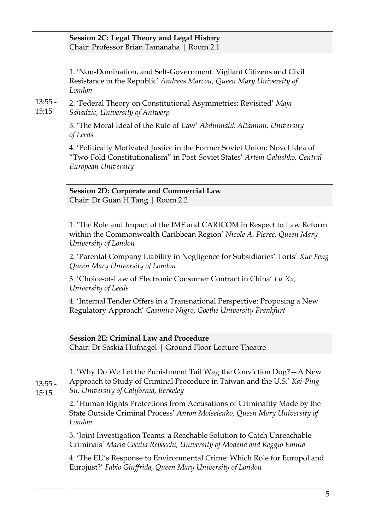|                    | <b>Session 2C: Legal Theory and Legal History</b><br>Chair: Professor Brian Tamanaha   Room 2.1                                                                                             |
|--------------------|---------------------------------------------------------------------------------------------------------------------------------------------------------------------------------------------|
|                    | 1. 'Non-Domination, and Self-Government: Vigilant Citizens and Civil<br>Resistance in the Republic' Andreas Marcou, Queen Mary University of<br>London                                      |
| $13:55 -$<br>15:15 | 2. 'Federal Theory on Constitutional Asymmetries: Revisited' Maja<br>Sahadzic, University of Antwerp                                                                                        |
|                    | 3. 'The Moral Ideal of the Rule of Law' Abdulmalik Altamimi, University<br>of Leeds                                                                                                         |
|                    | 4. 'Politically Motivated Justice in the Former Soviet Union: Novel Idea of<br>"Two-Fold Constitutionalism" in Post-Soviet States' Artem Galushko, Central<br>European University           |
|                    | <b>Session 2D: Corporate and Commercial Law</b><br>Chair: Dr Guan H Tang   Room 2.2                                                                                                         |
|                    | 1. 'The Role and Impact of the IMF and CARICOM in Respect to Law Reform<br>within the Commonwealth Caribbean Region' Nicole A. Pierce, Queen Mary<br>University of London                   |
|                    | 2. 'Parental Company Liability in Negligence for Subsidiaries' Torts' Xue Feng<br>Queen Mary University of London                                                                           |
|                    | 3. 'Choice-of-Law of Electronic Consumer Contract in China' Lu Xu,<br>University of Leeds                                                                                                   |
|                    | 4. 'Internal Tender Offers in a Transnational Perspective: Proposing a New<br>Regulatory Approach' Casimiro Nigro, Goethe University Frankfurt                                              |
|                    | <b>Session 2E: Criminal Law and Procedure</b><br>Chair: Dr Saskia Hufnagel   Ground Floor Lecture Theatre                                                                                   |
| $13:55 -$<br>15:15 | 1. 'Why Do We Let the Punishment Tail Wag the Conviction Dog? - A New<br>Approach to Study of Criminal Procedure in Taiwan and the U.S.' Kai-Ping<br>Su, University of California, Berkeley |
|                    | 2. 'Human Rights Protections from Accusations of Criminality Made by the<br>State Outside Criminal Process' Anton Moiseienko, Queen Mary University of<br>London                            |
|                    | 3. 'Joint Investigation Teams: a Reachable Solution to Catch Unreachable<br>Criminals' Maria Cecilia Rebecchi, University of Modena and Reggio Emilia                                       |
|                    | 4. 'The EU's Response to Environmental Crime: Which Role for Europol and<br>Eurojust?' Fabio Giuffrida, Queen Mary University of London                                                     |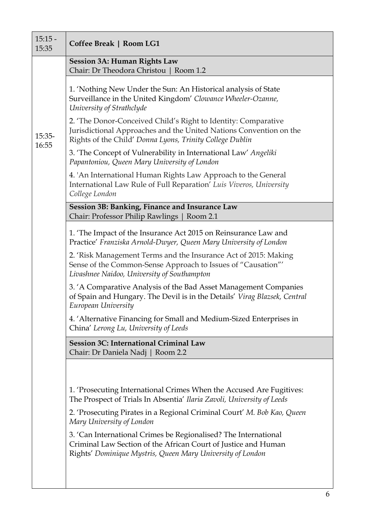| $15:15 -$<br>15:35 | Coffee Break   Room LG1                                                                                                                                                                          |
|--------------------|--------------------------------------------------------------------------------------------------------------------------------------------------------------------------------------------------|
| $15:35-$<br>16:55  | <b>Session 3A: Human Rights Law</b><br>Chair: Dr Theodora Christou   Room 1.2                                                                                                                    |
|                    | 1. 'Nothing New Under the Sun: An Historical analysis of State<br>Surveillance in the United Kingdom' Clowance Wheeler-Ozanne,<br>University of Strathclyde                                      |
|                    | 2. 'The Donor-Conceived Child's Right to Identity: Comparative<br>Jurisdictional Approaches and the United Nations Convention on the<br>Rights of the Child' Donna Lyons, Trinity College Dublin |
|                    | 3. 'The Concept of Vulnerability in International Law' Angeliki<br>Papantoniou, Queen Mary University of London                                                                                  |
|                    | 4. 'An International Human Rights Law Approach to the General<br>International Law Rule of Full Reparation' Luis Viveros, University<br>College London                                           |
|                    | Session 3B: Banking, Finance and Insurance Law<br>Chair: Professor Philip Rawlings   Room 2.1                                                                                                    |
|                    | 1. 'The Impact of the Insurance Act 2015 on Reinsurance Law and<br>Practice' Franziska Arnold-Dwyer, Queen Mary University of London                                                             |
|                    | 2. 'Risk Management Terms and the Insurance Act of 2015: Making<br>Sense of the Common-Sense Approach to Issues of "Causation"'<br>Livashnee Naidoo, University of Southampton                   |
|                    | 3. 'A Comparative Analysis of the Bad Asset Management Companies<br>of Spain and Hungary. The Devil is in the Details' Virag Blazsek, Central<br>European University                             |
|                    | 4. 'Alternative Financing for Small and Medium-Sized Enterprises in<br>China' Lerong Lu, University of Leeds                                                                                     |
|                    | Session 3C: International Criminal Law<br>Chair: Dr Daniela Nadj   Room 2.2                                                                                                                      |
|                    |                                                                                                                                                                                                  |
|                    | 1. 'Prosecuting International Crimes When the Accused Are Fugitives:<br>The Prospect of Trials In Absentia' Ilaria Zavoli, University of Leeds                                                   |
|                    | 2. 'Prosecuting Pirates in a Regional Criminal Court' M. Bob Kao, Queen<br>Mary University of London                                                                                             |
|                    | 3. 'Can International Crimes be Regionalised? The International<br>Criminal Law Section of the African Court of Justice and Human<br>Rights' Dominique Mystris, Queen Mary University of London  |
|                    |                                                                                                                                                                                                  |